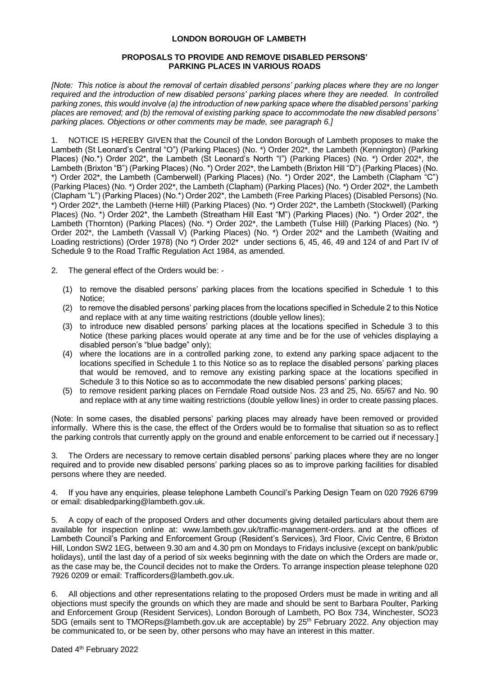# **LONDON BOROUGH OF LAMBETH**

## **PROPOSALS TO PROVIDE AND REMOVE DISABLED PERSONS' PARKING PLACES IN VARIOUS ROADS**

*[Note: This notice is about the removal of certain disabled persons' parking places where they are no longer required and the introduction of new disabled persons' parking places where they are needed. In controlled parking zones, this would involve (a) the introduction of new parking space where the disabled persons' parking places are removed; and (b) the removal of existing parking space to accommodate the new disabled persons' parking places. Objections or other comments may be made, see paragraph 6.]*

1. NOTICE IS HEREBY GIVEN that the Council of the London Borough of Lambeth proposes to make the Lambeth (St Leonard's Central "O") (Parking Places) (No. \*) Order 202\*, the Lambeth (Kennington) (Parking Places) (No.\*) Order 202\*, the Lambeth (St Leonard's North "I") (Parking Places) (No. \*) Order 202\*, the Lambeth (Brixton "B") (Parking Places) (No. \*) Order 202\*, the Lambeth (Brixton Hill "D") (Parking Places) (No. \*) Order 202\*, the Lambeth (Camberwell) (Parking Places) (No. \*) Order 202\*, the Lambeth (Clapham "C") (Parking Places) (No. \*) Order 202\*, the Lambeth (Clapham) (Parking Places) (No. \*) Order 202\*, the Lambeth (Clapham "L") (Parking Places) (No.\*) Order 202\*, the Lambeth (Free Parking Places) (Disabled Persons) (No. \*) Order 202\*, the Lambeth (Herne Hill) (Parking Places) (No. \*) Order 202\*, the Lambeth (Stockwell) (Parking Places) (No. \*) Order 202\*, the Lambeth (Streatham Hill East "M") (Parking Places) (No. \*) Order 202\*, the Lambeth (Thornton) (Parking Places) (No. \*) Order 202\*, the Lambeth (Tulse Hill) (Parking Places) (No. \*) Order 202\*, the Lambeth (Vassall V) (Parking Places) (No. \*) Order 202\* and the Lambeth (Waiting and Loading restrictions) (Order 1978) (No \*) Order 202\* under sections 6, 45, 46, 49 and 124 of and Part IV of Schedule 9 to the Road Traffic Regulation Act 1984, as amended.

- 2. The general effect of the Orders would be:
	- (1) to remove the disabled persons' parking places from the locations specified in Schedule 1 to this Notice;
	- (2) to remove the disabled persons' parking places from the locations specified in Schedule 2 to this Notice and replace with at any time waiting restrictions (double yellow lines);
	- (3) to introduce new disabled persons' parking places at the locations specified in Schedule 3 to this Notice (these parking places would operate at any time and be for the use of vehicles displaying a disabled person's "blue badge" only);
	- (4) where the locations are in a controlled parking zone, to extend any parking space adjacent to the locations specified in Schedule 1 to this Notice so as to replace the disabled persons' parking places that would be removed, and to remove any existing parking space at the locations specified in Schedule 3 to this Notice so as to accommodate the new disabled persons' parking places;
	- (5) to remove resident parking places on Ferndale Road outside Nos. 23 and 25, No. 65/67 and No. 90 and replace with at any time waiting restrictions (double yellow lines) in order to create passing places.

(Note: In some cases, the disabled persons' parking places may already have been removed or provided informally. Where this is the case, the effect of the Orders would be to formalise that situation so as to reflect the parking controls that currently apply on the ground and enable enforcement to be carried out if necessary.]

3. The Orders are necessary to remove certain disabled persons' parking places where they are no longer required and to provide new disabled persons' parking places so as to improve parking facilities for disabled persons where they are needed.

4. If you have any enquiries, please telephone Lambeth Council's Parking Design Team on 020 7926 6799 or email: disabledparking@lambeth.gov.uk.

5. A copy of each of the proposed Orders and other documents giving detailed particulars about them are available for inspection online at: [www.lambeth.gov.uk/traffic-management-orders.](https://eur01.safelinks.protection.outlook.com/?url=http%3A%2F%2Fwww.lambeth.gov.uk%2Ftraffic-management-orders&data=04%7C01%7CSahil.Dalsania%40projectcentre.co.uk%7Cd5f8781950a048ec7af708d920373c88%7C3734172ae82a4ac7a3d302949970d5e6%7C0%7C0%7C637576243876641921%7CUnknown%7CTWFpbGZsb3d8eyJWIjoiMC4wLjAwMDAiLCJQIjoiV2luMzIiLCJBTiI6Ik1haWwiLCJXVCI6Mn0%3D%7C1000&sdata=LbcG45UHIvK3V3Yhycdx16pImxK2bUPFL%2BY6oKh0ACY%3D&reserved=0) and at the offices of Lambeth Council's Parking and Enforcement Group (Resident's Services), 3rd Floor, Civic Centre, 6 Brixton Hill, London SW2 1EG, between 9.30 am and 4.30 pm on Mondays to Fridays inclusive (except on bank/public holidays), until the last day of a period of six weeks beginning with the date on which the Orders are made or, as the case may be, the Council decides not to make the Orders. To arrange inspection please telephone 020 7926 0209 or email: [Trafficorders@lambeth.gov.uk.](mailto:Trafficorders@lambeth.gov.uk)

6. All objections and other representations relating to the proposed Orders must be made in writing and all objections must specify the grounds on which they are made and should be sent to Barbara Poulter, Parking and Enforcement Group (Resident Services), London Borough of Lambeth, PO Box 734, Winchester, SO23 5DG (emails sent to [TMOReps@lambeth.gov.uk](mailto:TMOReps@lambeth.gov.uk) are acceptable) by 25<sup>th</sup> February 2022. Any objection may be communicated to, or be seen by, other persons who may have an interest in this matter.